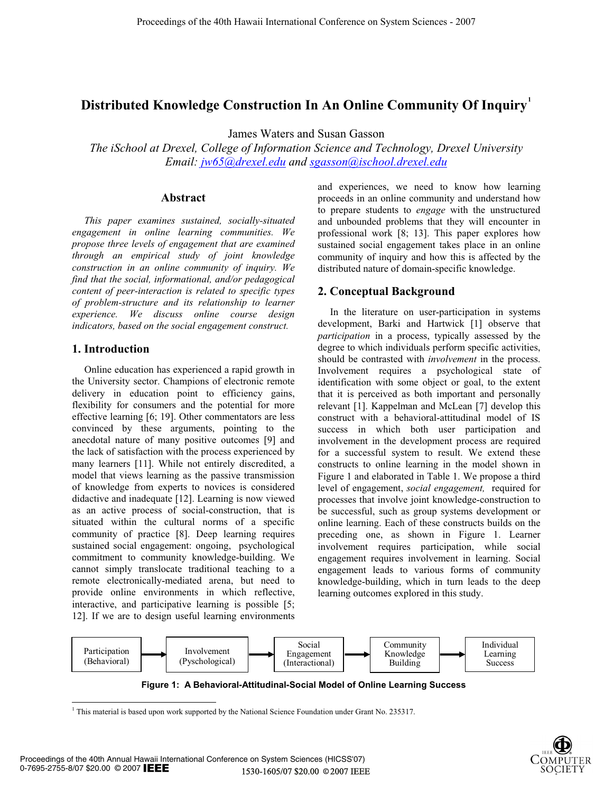# **Distributed Knowledge Construction In An Online Community Of Inquiry<sup>1</sup>**

James Waters and Susan Gasson

*The iSchool at Drexel, College of Information Science and Technology, Drexel University Email: jw65@drexel.edu and sgasson@ischool.drexel.edu*

### **Abstract**

*This paper examines sustained, socially-situated engagement in online learning communities. We propose three levels of engagement that are examined through an empirical study of joint knowledge construction in an online community of inquiry. We find that the social, informational, and/or pedagogical content of peer-interaction is related to specific types of problem-structure and its relationship to learner experience. We discuss online course design indicators, based on the social engagement construct.* 

### **1. Introduction**

Online education has experienced a rapid growth in the University sector. Champions of electronic remote delivery in education point to efficiency gains, flexibility for consumers and the potential for more effective learning [6; 19]. Other commentators are less convinced by these arguments, pointing to the anecdotal nature of many positive outcomes [9] and the lack of satisfaction with the process experienced by many learners [11]. While not entirely discredited, a model that views learning as the passive transmission of knowledge from experts to novices is considered didactive and inadequate [12]. Learning is now viewed as an active process of social-construction, that is situated within the cultural norms of a specific community of practice [8]. Deep learning requires sustained social engagement: ongoing, psychological commitment to community knowledge-building. We cannot simply translocate traditional teaching to a remote electronically-mediated arena, but need to provide online environments in which reflective, interactive, and participative learning is possible [5; 12]. If we are to design useful learning environments

and experiences, we need to know how learning proceeds in an online community and understand how to prepare students to *engage* with the unstructured and unbounded problems that they will encounter in professional work [8; 13]. This paper explores how sustained social engagement takes place in an online community of inquiry and how this is affected by the distributed nature of domain-specific knowledge.

### **2. Conceptual Background**

In the literature on user-participation in systems development, Barki and Hartwick [1] observe that *participation* in a process, typically assessed by the degree to which individuals perform specific activities, should be contrasted with *involvement* in the process. Involvement requires a psychological state of identification with some object or goal, to the extent that it is perceived as both important and personally relevant [1]. Kappelman and McLean [7] develop this construct with a behavioral-attitudinal model of IS success in which both user participation and involvement in the development process are required for a successful system to result. We extend these constructs to online learning in the model shown in Figure 1 and elaborated in Table 1. We propose a third level of engagement, *social engagement,* required for processes that involve joint knowledge-construction to be successful, such as group systems development or online learning. Each of these constructs builds on the preceding one, as shown in Figure 1. Learner involvement requires participation, while social engagement requires involvement in learning. Social engagement leads to various forms of community knowledge-building, which in turn leads to the deep learning outcomes explored in this study.



**Figure 1: A Behavioral-Attitudinal-Social Model of Online Learning Success** 

1 This material is based upon work supported by the National Science Foundation under Grant No. 235317.

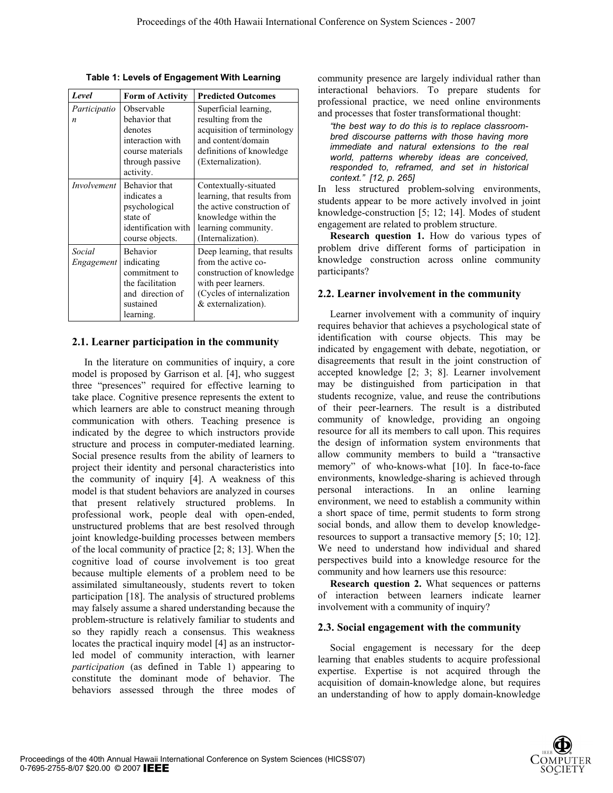**Table 1: Levels of Engagement With Learning** 

| Level                            | <b>Form of Activity</b>                                                                                          | <b>Predicted Outcomes</b>                                                                                                                                   |  |  |
|----------------------------------|------------------------------------------------------------------------------------------------------------------|-------------------------------------------------------------------------------------------------------------------------------------------------------------|--|--|
| Participatio<br>$\boldsymbol{n}$ | Observable<br>behavior that<br>denotes<br>interaction with<br>course materials<br>through passive<br>activity.   | Superficial learning,<br>resulting from the<br>acquisition of terminology<br>and content/domain<br>definitions of knowledge<br>(Externalization).           |  |  |
| Involvement                      | Behavior that<br>indicates a<br>psychological<br>state of<br>identification with<br>course objects.              | Contextually-situated<br>learning, that results from<br>the active construction of<br>knowledge within the<br>learning community.<br>(Internalization).     |  |  |
| Social<br>Engagement             | <b>Behavior</b><br>indicating<br>commitment to<br>the facilitation<br>and direction of<br>sustained<br>learning. | Deep learning, that results<br>from the active co-<br>construction of knowledge<br>with peer learners.<br>(Cycles of internalization<br>& externalization). |  |  |

#### **2.1. Learner participation in the community**

In the literature on communities of inquiry, a core model is proposed by Garrison et al. [4], who suggest three "presences" required for effective learning to take place. Cognitive presence represents the extent to which learners are able to construct meaning through communication with others. Teaching presence is indicated by the degree to which instructors provide structure and process in computer-mediated learning. Social presence results from the ability of learners to project their identity and personal characteristics into the community of inquiry [4]. A weakness of this model is that student behaviors are analyzed in courses that present relatively structured problems. In professional work, people deal with open-ended, unstructured problems that are best resolved through joint knowledge-building processes between members of the local community of practice [2; 8; 13]. When the cognitive load of course involvement is too great because multiple elements of a problem need to be assimilated simultaneously, students revert to token participation [18]. The analysis of structured problems may falsely assume a shared understanding because the problem-structure is relatively familiar to students and so they rapidly reach a consensus. This weakness locates the practical inquiry model [4] as an instructorled model of community interaction, with learner *participation* (as defined in Table 1) appearing to constitute the dominant mode of behavior. The behaviors assessed through the three modes of

community presence are largely individual rather than interactional behaviors. To prepare students for professional practice, we need online environments and processes that foster transformational thought:

*"the best way to do this is to replace classroombred discourse patterns with those having more immediate and natural extensions to the real world, patterns whereby ideas are conceived, responded to, reframed, and set in historical context." [12, p. 265]* 

In less structured problem-solving environments, students appear to be more actively involved in joint knowledge-construction [5; 12; 14]. Modes of student engagement are related to problem structure.

**Research question 1.** How do various types of problem drive different forms of participation in knowledge construction across online community participants?

### **2.2. Learner involvement in the community**

Learner involvement with a community of inquiry requires behavior that achieves a psychological state of identification with course objects. This may be indicated by engagement with debate, negotiation, or disagreements that result in the joint construction of accepted knowledge [2; 3; 8]. Learner involvement may be distinguished from participation in that students recognize, value, and reuse the contributions of their peer-learners. The result is a distributed community of knowledge, providing an ongoing resource for all its members to call upon. This requires the design of information system environments that allow community members to build a "transactive memory" of who-knows-what [10]. In face-to-face environments, knowledge-sharing is achieved through personal interactions. In an online learning environment, we need to establish a community within a short space of time, permit students to form strong social bonds, and allow them to develop knowledgeresources to support a transactive memory [5; 10; 12]. We need to understand how individual and shared perspectives build into a knowledge resource for the community and how learners use this resource:

**Research question 2.** What sequences or patterns of interaction between learners indicate learner involvement with a community of inquiry?

### **2.3. Social engagement with the community**

Social engagement is necessary for the deep learning that enables students to acquire professional expertise. Expertise is not acquired through the acquisition of domain-knowledge alone, but requires an understanding of how to apply domain-knowledge

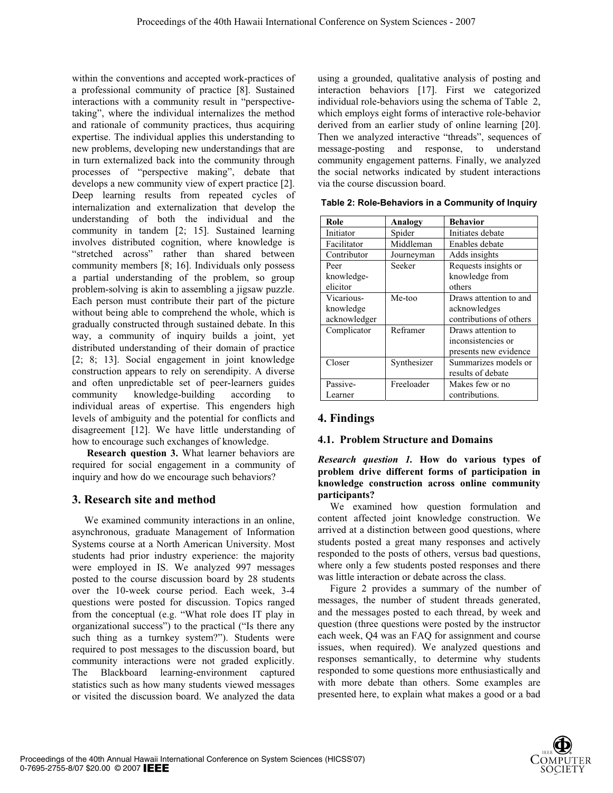within the conventions and accepted work-practices of a professional community of practice [8]. Sustained interactions with a community result in "perspectivetaking", where the individual internalizes the method and rationale of community practices, thus acquiring expertise. The individual applies this understanding to new problems, developing new understandings that are in turn externalized back into the community through processes of "perspective making", debate that develops a new community view of expert practice [2]. Deep learning results from repeated cycles of internalization and externalization that develop the understanding of both the individual and the community in tandem [2; 15]. Sustained learning involves distributed cognition, where knowledge is "stretched across" rather than shared between community members [8; 16]. Individuals only possess a partial understanding of the problem, so group problem-solving is akin to assembling a jigsaw puzzle. Each person must contribute their part of the picture without being able to comprehend the whole, which is gradually constructed through sustained debate. In this way, a community of inquiry builds a joint, yet distributed understanding of their domain of practice [2; 8; 13]. Social engagement in joint knowledge construction appears to rely on serendipity. A diverse and often unpredictable set of peer-learners guides community knowledge-building according to individual areas of expertise. This engenders high levels of ambiguity and the potential for conflicts and disagreement [12]. We have little understanding of how to encourage such exchanges of knowledge.

**Research question 3.** What learner behaviors are required for social engagement in a community of inquiry and how do we encourage such behaviors?

# **3. Research site and method**

We examined community interactions in an online, asynchronous, graduate Management of Information Systems course at a North American University. Most students had prior industry experience: the majority were employed in IS. We analyzed 997 messages posted to the course discussion board by 28 students over the 10-week course period. Each week, 3-4 questions were posted for discussion. Topics ranged from the conceptual (e.g. "What role does IT play in organizational success") to the practical ("Is there any such thing as a turnkey system?"). Students were required to post messages to the discussion board, but community interactions were not graded explicitly. The Blackboard learning-environment captured statistics such as how many students viewed messages or visited the discussion board. We analyzed the data using a grounded, qualitative analysis of posting and interaction behaviors [17]. First we categorized individual role-behaviors using the schema of Table 2, which employs eight forms of interactive role-behavior derived from an earlier study of online learning [20]. Then we analyzed interactive "threads", sequences of message-posting and response, to understand community engagement patterns. Finally, we analyzed the social networks indicated by student interactions via the course discussion board.

| Role         | Analogy     | <b>Behavior</b>         |  |
|--------------|-------------|-------------------------|--|
| Initiator    | Spider      | Initiates debate        |  |
| Facilitator  | Middleman   | Enables debate          |  |
| Contributor  | Journeyman  | Adds insights           |  |
| Peer         | Seeker      | Requests insights or    |  |
| knowledge-   |             | knowledge from          |  |
| elicitor     |             | others                  |  |
| Vicarious-   | Me-too      | Draws attention to and  |  |
| knowledge    |             | acknowledges            |  |
| acknowledger |             | contributions of others |  |
| Complicator  | Reframer    | Draws attention to      |  |
|              |             | inconsistencies or      |  |
|              |             | presents new evidence   |  |
| Closer       | Synthesizer | Summarizes models or    |  |
|              |             | results of debate       |  |
| Passive-     | Freeloader  | Makes few or no         |  |
| Learner      |             | contributions.          |  |

**Table 2: Role-Behaviors in a Community of Inquiry** 

# **4. Findings**

### **4.1. Problem Structure and Domains**

*Research question 1.* **How do various types of problem drive different forms of participation in knowledge construction across online community participants?** 

We examined how question formulation and content affected joint knowledge construction. We arrived at a distinction between good questions, where students posted a great many responses and actively responded to the posts of others, versus bad questions, where only a few students posted responses and there was little interaction or debate across the class.

Figure 2 provides a summary of the number of messages, the number of student threads generated, and the messages posted to each thread, by week and question (three questions were posted by the instructor each week, Q4 was an FAQ for assignment and course issues, when required). We analyzed questions and responses semantically, to determine why students responded to some questions more enthusiastically and with more debate than others. Some examples are presented here, to explain what makes a good or a bad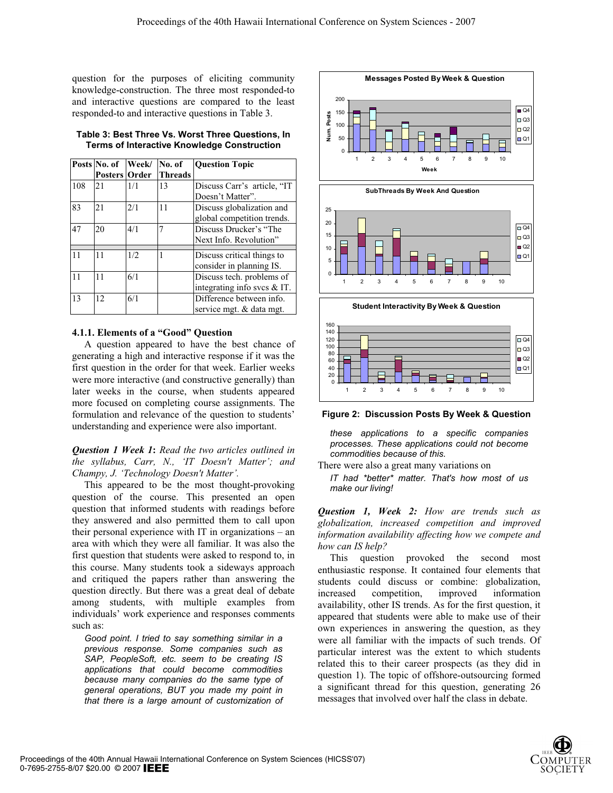question for the purposes of eliciting community knowledge-construction. The three most responded-to and interactive questions are compared to the least responded-to and interactive questions in Table 3.

#### **Table 3: Best Three Vs. Worst Three Questions, In Terms of Interactive Knowledge Construction**

|     | Posts No. of<br><b>Posters Order</b> | Week/ | No. of<br><b>Threads</b> | <b>Ouestion Topic</b>                                    |
|-----|--------------------------------------|-------|--------------------------|----------------------------------------------------------|
| 108 | 21                                   | 1/1   | 13                       | Discuss Carr's article, "IT<br>Doesn't Matter".          |
| 83  | 21                                   | 2/1   | 11                       | Discuss globalization and<br>global competition trends.  |
| 47  | 20                                   | 4/1   | 7                        | Discuss Drucker's "The<br>Next Info. Revolution"         |
| 11  | 11                                   | 1/2   |                          | Discuss critical things to<br>consider in planning IS.   |
| 11  | 11                                   | 6/1   |                          | Discuss tech. problems of<br>integrating info svcs & IT. |
| 13  | 12.                                  | 6/1   |                          | Difference between info.<br>service mgt. & data mgt.     |

#### **4.1.1. Elements of a "Good" Question**

A question appeared to have the best chance of generating a high and interactive response if it was the first question in the order for that week. Earlier weeks were more interactive (and constructive generally) than later weeks in the course, when students appeared more focused on completing course assignments. The formulation and relevance of the question to students' understanding and experience were also important.

### *Question 1 Week 1***:** *Read the two articles outlined in the syllabus, Carr, N., 'IT Doesn't Matter'; and Champy, J. 'Technology Doesn't Matter'.*

This appeared to be the most thought-provoking question of the course. This presented an open question that informed students with readings before they answered and also permitted them to call upon their personal experience with IT in organizations – an area with which they were all familiar. It was also the first question that students were asked to respond to, in this course. Many students took a sideways approach and critiqued the papers rather than answering the question directly. But there was a great deal of debate among students, with multiple examples from individuals' work experience and responses comments such as:

*Good point. I tried to say something similar in a previous response. Some companies such as SAP, PeopleSoft, etc. seem to be creating IS applications that could become commodities because many companies do the same type of general operations, BUT you made my point in that there is a large amount of customization of* 



**Figure 2: Discussion Posts By Week & Question** 

1 2 3 4 5 6 7 8 9 10

*these applications to a specific companies processes. These applications could not become commodities because of this.*

There were also a great many variations on

0

*IT had \*better\* matter. That's how most of us make our living!* 

*Question 1, Week 2: How are trends such as globalization, increased competition and improved information availability affecting how we compete and how can IS help?* 

This question provoked the second most enthusiastic response. It contained four elements that students could discuss or combine: globalization, increased competition, improved information availability, other IS trends. As for the first question, it appeared that students were able to make use of their own experiences in answering the question, as they were all familiar with the impacts of such trends. Of particular interest was the extent to which students related this to their career prospects (as they did in question 1). The topic of offshore-outsourcing formed a significant thread for this question, generating 26 messages that involved over half the class in debate.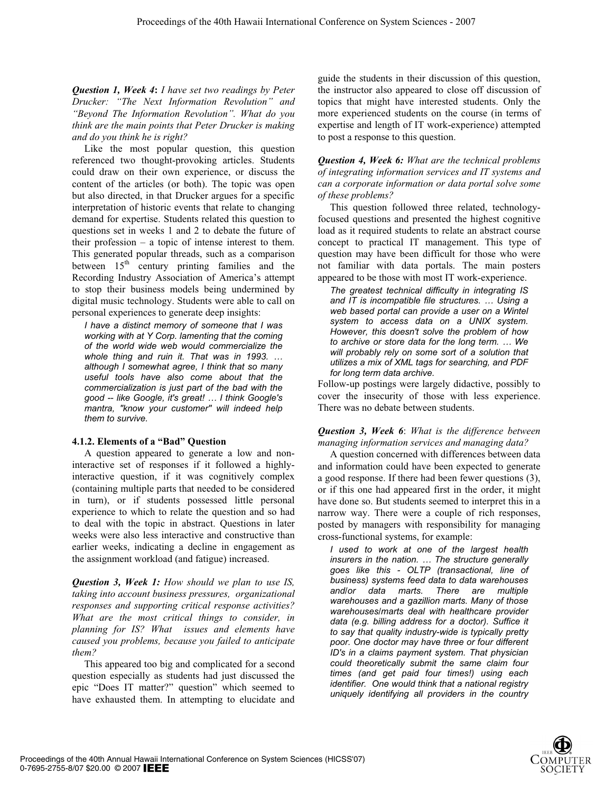*Question 1, Week 4***:** *I have set two readings by Peter Drucker: "The Next Information Revolution" and "Beyond The Information Revolution". What do you think are the main points that Peter Drucker is making and do you think he is right?* 

Like the most popular question, this question referenced two thought-provoking articles. Students could draw on their own experience, or discuss the content of the articles (or both). The topic was open but also directed, in that Drucker argues for a specific interpretation of historic events that relate to changing demand for expertise. Students related this question to questions set in weeks 1 and 2 to debate the future of their profession – a topic of intense interest to them. This generated popular threads, such as a comparison between  $15<sup>th</sup>$  century printing families and the Recording Industry Association of America's attempt to stop their business models being undermined by digital music technology. Students were able to call on personal experiences to generate deep insights:

*I have a distinct memory of someone that I was working with at Y Corp. lamenting that the coming of the world wide web would commercialize the whole thing and ruin it. That was in 1993. … although I somewhat agree, I think that so many useful tools have also come about that the commercialization is just part of the bad with the good -- like Google, it's great! … I think Google's mantra, "know your customer" will indeed help them to survive.* 

### **4.1.2. Elements of a "Bad" Question**

A question appeared to generate a low and noninteractive set of responses if it followed a highlyinteractive question, if it was cognitively complex (containing multiple parts that needed to be considered in turn), or if students possessed little personal experience to which to relate the question and so had to deal with the topic in abstract. Questions in later weeks were also less interactive and constructive than earlier weeks, indicating a decline in engagement as the assignment workload (and fatigue) increased.

*Question 3, Week 1: How should we plan to use IS, taking into account business pressures, organizational responses and supporting critical response activities? What are the most critical things to consider, in planning for IS? What issues and elements have caused you problems, because you failed to anticipate them?* 

This appeared too big and complicated for a second question especially as students had just discussed the epic "Does IT matter?" question" which seemed to have exhausted them. In attempting to elucidate and

guide the students in their discussion of this question, the instructor also appeared to close off discussion of topics that might have interested students. Only the more experienced students on the course (in terms of expertise and length of IT work-experience) attempted to post a response to this question.

*Question 4, Week 6: What are the technical problems of integrating information services and IT systems and can a corporate information or data portal solve some of these problems?* 

This question followed three related, technologyfocused questions and presented the highest cognitive load as it required students to relate an abstract course concept to practical IT management. This type of question may have been difficult for those who were not familiar with data portals. The main posters appeared to be those with most IT work-experience.

*The greatest technical difficulty in integrating IS and IT is incompatible file structures. … Using a web based portal can provide a user on a Wintel system to access data on a UNIX system. However, this doesn't solve the problem of how to archive or store data for the long term. … We will probably rely on some sort of a solution that utilizes a mix of XML tags for searching, and PDF for long term data archive.* 

Follow-up postings were largely didactive, possibly to cover the insecurity of those with less experience. There was no debate between students.

*Question 3, Week 6*: *What is the difference between managing information services and managing data?* 

A question concerned with differences between data and information could have been expected to generate a good response. If there had been fewer questions (3), or if this one had appeared first in the order, it might have done so. But students seemed to interpret this in a narrow way. There were a couple of rich responses, posted by managers with responsibility for managing cross-functional systems, for example:

*I used to work at one of the largest health insurers in the nation. … The structure generally goes like this - OLTP (transactional, line of business) systems feed data to data warehouses and/or data marts. There are multiple warehouses and a gazillion marts. Many of those warehouses/marts deal with healthcare provider data (e.g. billing address for a doctor). Suffice it to say that quality industry-wide is typically pretty poor. One doctor may have three or four different ID's in a claims payment system. That physician could theoretically submit the same claim four times (and get paid four times!) using each identifier. One would think that a national registry uniquely identifying all providers in the country*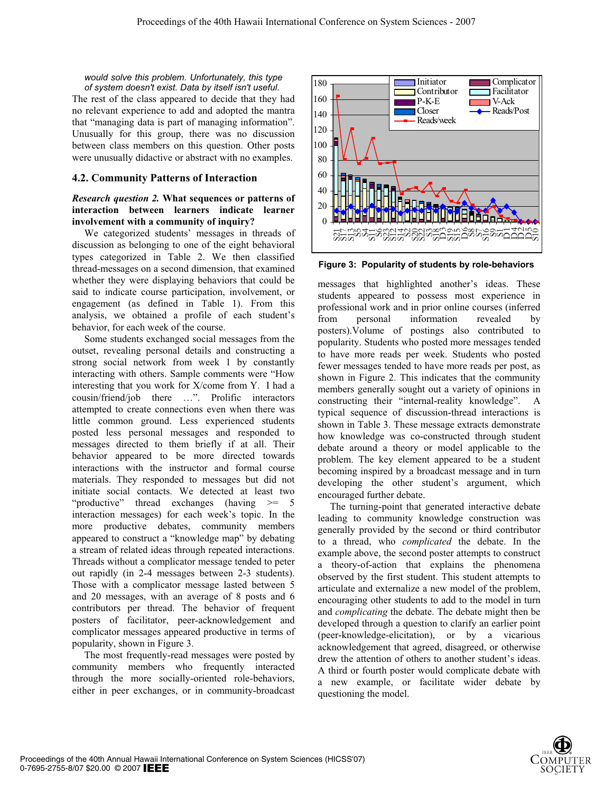*would solve this problem. Unfortunately, this type of system doesn't exist. Data by itself isn't useful.* 

The rest of the class appeared to decide that they had no relevant experience to add and adopted the mantra that "managing data is part of managing information". Unusually for this group, there was no discussion between class members on this question. Other posts were unusually didactive or abstract with no examples.

### **4.2. Community Patterns of Interaction**

### *Research question 2.* **What sequences or patterns of interaction between learners indicate learner involvement with a community of inquiry?**

We categorized students' messages in threads of discussion as belonging to one of the eight behavioral types categorized in Table 2. We then classified thread-messages on a second dimension, that examined whether they were displaying behaviors that could be said to indicate course participation, involvement, or engagement (as defined in Table 1). From this analysis, we obtained a profile of each student's behavior, for each week of the course.

Some students exchanged social messages from the outset, revealing personal details and constructing a strong social network from week 1 by constantly interacting with others. Sample comments were "How interesting that you work for X/come from Y. I had a cousin/friend/job there …". Prolific interactors attempted to create connections even when there was little common ground. Less experienced students posted less personal messages and responded to messages directed to them briefly if at all. Their behavior appeared to be more directed towards interactions with the instructor and formal course materials. They responded to messages but did not initiate social contacts. We detected at least two "productive" thread exchanges (having >= 5 interaction messages) for each week's topic. In the more productive debates, community members appeared to construct a "knowledge map" by debating a stream of related ideas through repeated interactions. Threads without a complicator message tended to peter out rapidly (in 2-4 messages between 2-3 students). Those with a complicator message lasted between 5 and 20 messages, with an average of 8 posts and 6 contributors per thread. The behavior of frequent posters of facilitator, peer-acknowledgement and complicator messages appeared productive in terms of popularity, shown in Figure 3.

The most frequently-read messages were posted by community members who frequently interacted through the more socially-oriented role-behaviors, either in peer exchanges, or in community-broadcast



**Figure 3: Popularity of students by role-behaviors** 

messages that highlighted another's ideas. These students appeared to possess most experience in professional work and in prior online courses (inferred from personal information revealed by posters).Volume of postings also contributed to popularity. Students who posted more messages tended to have more reads per week. Students who posted fewer messages tended to have more reads per post, as shown in Figure 2. This indicates that the community members generally sought out a variety of opinions in constructing their "internal-reality knowledge". A typical sequence of discussion-thread interactions is shown in Table 3. These message extracts demonstrate how knowledge was co-constructed through student debate around a theory or model applicable to the problem. The key element appeared to be a student becoming inspired by a broadcast message and in turn developing the other student's argument, which encouraged further debate.

The turning-point that generated interactive debate leading to community knowledge construction was generally provided by the second or third contributor to a thread, who *complicated* the debate. In the example above, the second poster attempts to construct a theory-of-action that explains the phenomena observed by the first student. This student attempts to articulate and externalize a new model of the problem, encouraging other students to add to the model in turn and *complicating* the debate. The debate might then be developed through a question to clarify an earlier point (peer-knowledge-elicitation), or by a vicarious acknowledgement that agreed, disagreed, or otherwise drew the attention of others to another student's ideas. A third or fourth poster would complicate debate with a new example, or facilitate wider debate by questioning the model.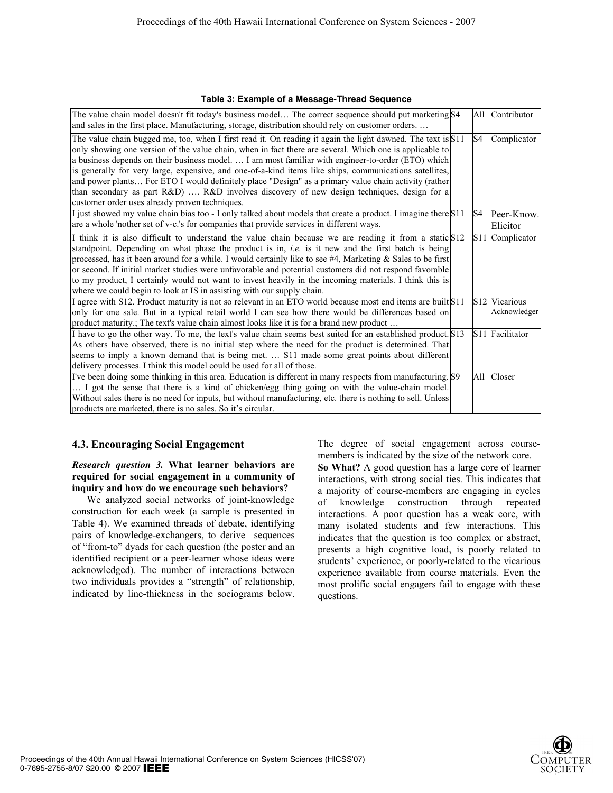#### **Table 3: Example of a Message-Thread Sequence**

| The value chain model doesn't fit today's business model The correct sequence should put marketing S4<br>and sales in the first place. Manufacturing, storage, distribution should rely on customer orders                                                                                                                                                                                                                                                                                                                                                                                                                                                                                         | A11 | Contributor                               |
|----------------------------------------------------------------------------------------------------------------------------------------------------------------------------------------------------------------------------------------------------------------------------------------------------------------------------------------------------------------------------------------------------------------------------------------------------------------------------------------------------------------------------------------------------------------------------------------------------------------------------------------------------------------------------------------------------|-----|-------------------------------------------|
| The value chain bugged me, too, when I first read it. On reading it again the light dawned. The text is $ S11 $<br>only showing one version of the value chain, when in fact there are several. Which one is applicable to<br>a business depends on their business model.  I am most familiar with engineer-to-order (ETO) which<br>is generally for very large, expensive, and one-of-a-kind items like ships, communications satellites,<br>and power plants For ETO I would definitely place "Design" as a primary value chain activity (rather<br>than secondary as part R&D)  R&D involves discovery of new design techniques, design for a<br>customer order uses already proven techniques. | S4  | Complicator                               |
| I just showed my value chain bias too - I only talked about models that create a product. I imagine there S11<br>are a whole 'nother set of v-c.'s for companies that provide services in different ways.                                                                                                                                                                                                                                                                                                                                                                                                                                                                                          | S4  | Peer-Know.<br>Elicitor                    |
| I think it is also difficult to understand the value chain because we are reading it from a static S12<br>standpoint. Depending on what phase the product is in, <i>i.e.</i> is it new and the first batch is being<br>processed, has it been around for a while. I would certainly like to see #4, Marketing & Sales to be first<br>or second. If initial market studies were unfavorable and potential customers did not respond favorable<br>to my product, I certainly would not want to invest heavily in the incoming materials. I think this is<br>where we could begin to look at IS in assisting with our supply chain.                                                                   |     | S11 Complicator                           |
| I agree with S12. Product maturity is not so relevant in an ETO world because most end items are built \$11<br>only for one sale. But in a typical retail world I can see how there would be differences based on<br>product maturity.; The text's value chain almost looks like it is for a brand new product                                                                                                                                                                                                                                                                                                                                                                                     |     | S <sub>12</sub> Vicarious<br>Acknowledger |
| I have to go the other way. To me, the text's value chain seems best suited for an established product. S13<br>As others have observed, there is no initial step where the need for the product is determined. That<br>seems to imply a known demand that is being met.  S11 made some great points about different<br>delivery processes. I think this model could be used for all of those.                                                                                                                                                                                                                                                                                                      |     | S11 Facilitator                           |
| I've been doing some thinking in this area. Education is different in many respects from manufacturing S9<br>I got the sense that there is a kind of chicken/egg thing going on with the value-chain model.<br>Without sales there is no need for inputs, but without manufacturing, etc. there is nothing to sell. Unless<br>products are marketed, there is no sales. So it's circular.                                                                                                                                                                                                                                                                                                          | All | Closer                                    |

### **4.3. Encouraging Social Engagement**

### *Research question 3.* **What learner behaviors are required for social engagement in a community of inquiry and how do we encourage such behaviors?**

We analyzed social networks of joint-knowledge construction for each week (a sample is presented in Table 4). We examined threads of debate, identifying pairs of knowledge-exchangers, to derive sequences of "from-to" dyads for each question (the poster and an identified recipient or a peer-learner whose ideas were acknowledged). The number of interactions between two individuals provides a "strength" of relationship, indicated by line-thickness in the sociograms below. The degree of social engagement across coursemembers is indicated by the size of the network core.

**So What?** A good question has a large core of learner interactions, with strong social ties. This indicates that a majority of course-members are engaging in cycles of knowledge construction through repeated interactions. A poor question has a weak core, with many isolated students and few interactions. This indicates that the question is too complex or abstract, presents a high cognitive load, is poorly related to students' experience, or poorly-related to the vicarious experience available from course materials. Even the most prolific social engagers fail to engage with these questions.

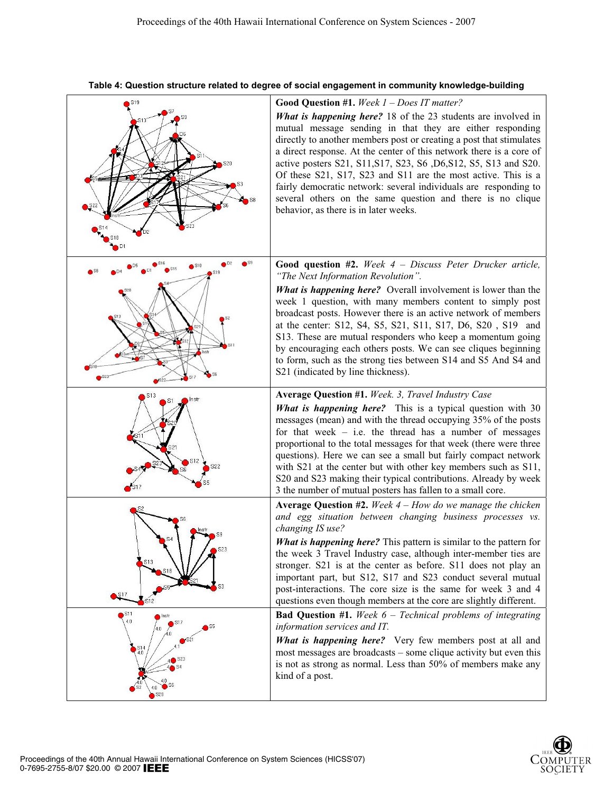|                                                                        | <b>Good Question #1.</b> Week $1 - Does IT matter?$                                                                                                                                                                                                                                                                                                                                                                                                                                                                                                                                      |
|------------------------------------------------------------------------|------------------------------------------------------------------------------------------------------------------------------------------------------------------------------------------------------------------------------------------------------------------------------------------------------------------------------------------------------------------------------------------------------------------------------------------------------------------------------------------------------------------------------------------------------------------------------------------|
| S20                                                                    | What is happening here? 18 of the 23 students are involved in<br>mutual message sending in that they are either responding<br>directly to another members post or creating a post that stimulates<br>a direct response. At the center of this network there is a core of<br>active posters S21, S11, S17, S23, S6, D6, S12, S5, S13 and S20.<br>Of these S21, S17, S23 and S11 are the most active. This is a<br>fairly democratic network: several individuals are responding to<br>several others on the same question and there is no clique<br>behavior, as there is in later weeks. |
| $\bullet$ S9<br>S10                                                    | <b>Good question #2.</b> Week $4$ – Discuss Peter Drucker article,<br>"The Next Information Revolution".                                                                                                                                                                                                                                                                                                                                                                                                                                                                                 |
|                                                                        | <b>What is happening here?</b> Overall involvement is lower than the<br>week 1 question, with many members content to simply post<br>broadcast posts. However there is an active network of members<br>at the center: S12, S4, S5, S21, S11, S17, D6, S20, S19 and<br>S13. These are mutual responders who keep a momentum going<br>by encouraging each others posts. We can see cliques beginning<br>to form, such as the strong ties between S14 and S5 And S4 and<br>S21 (indicated by line thickness).                                                                               |
| Instr                                                                  | Average Question #1. Week. 3, Travel Industry Case                                                                                                                                                                                                                                                                                                                                                                                                                                                                                                                                       |
| S21<br>S12<br>S22                                                      | What is happening here? This is a typical question with 30<br>messages (mean) and with the thread occupying 35% of the posts<br>for that week $-$ i.e. the thread has a number of messages<br>proportional to the total messages for that week (there were three<br>questions). Here we can see a small but fairly compact network<br>with S21 at the center but with other key members such as S11,<br>S20 and S23 making their typical contributions. Already by week<br>3 the number of mutual posters has fallen to a small core.                                                    |
|                                                                        | <b>Average Question #2.</b> Week $4$ – How do we manage the chicken                                                                                                                                                                                                                                                                                                                                                                                                                                                                                                                      |
|                                                                        | and egg situation between changing business processes vs.<br>changing IS use?                                                                                                                                                                                                                                                                                                                                                                                                                                                                                                            |
| S13<br>$\mathbb{S}^{17}$                                               | What is happening here? This pattern is similar to the pattern for<br>the week 3 Travel Industry case, although inter-member ties are<br>stronger. S21 is at the center as before. S11 does not play an<br>important part, but S12, S17 and S23 conduct several mutual<br>post-interactions. The core size is the same for week 3 and 4<br>questions even though members at the core are slightly different.                                                                                                                                                                             |
| $\bullet$ <sup>S11</sup><br>4.0<br>S <sub>17</sub>                     | <b>Bad Question #1.</b> Week $6$ – Technical problems of integrating<br>information services and IT.                                                                                                                                                                                                                                                                                                                                                                                                                                                                                     |
| $\bullet$ sz<br>$\frac{S14}{4.0}$<br>S <sub>23</sub><br>S <sub>6</sub> | What is happening here? Very few members post at all and<br>most messages are broadcasts – some clique activity but even this<br>is not as strong as normal. Less than 50% of members make any<br>kind of a post.                                                                                                                                                                                                                                                                                                                                                                        |
| 4.0<br>S20                                                             |                                                                                                                                                                                                                                                                                                                                                                                                                                                                                                                                                                                          |

### **Table 4: Question structure related to degree of social engagement in community knowledge-building**

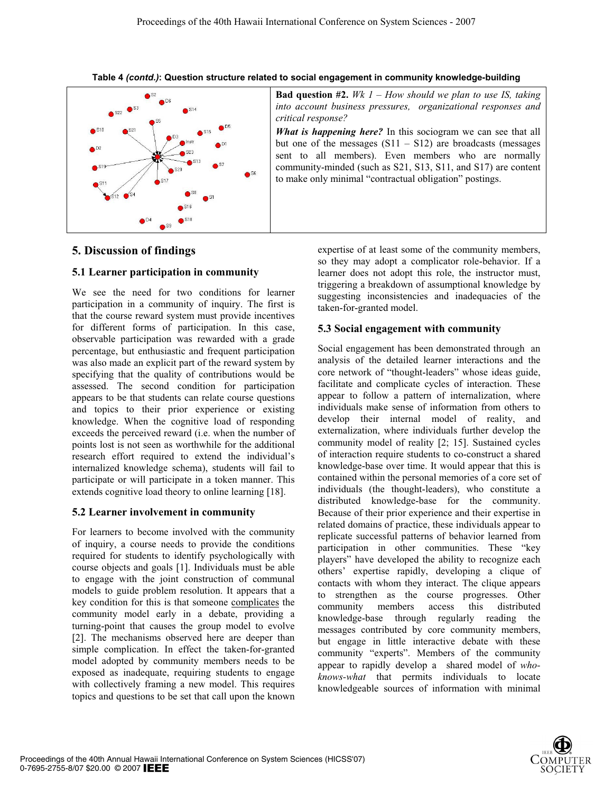**Table 4** *(contd.)***: Question structure related to social engagement in community knowledge-building** 



# **5. Discussion of findings**

# **5.1 Learner participation in community**

We see the need for two conditions for learner participation in a community of inquiry. The first is that the course reward system must provide incentives for different forms of participation. In this case, observable participation was rewarded with a grade percentage, but enthusiastic and frequent participation was also made an explicit part of the reward system by specifying that the quality of contributions would be assessed. The second condition for participation appears to be that students can relate course questions and topics to their prior experience or existing knowledge. When the cognitive load of responding exceeds the perceived reward (i.e. when the number of points lost is not seen as worthwhile for the additional research effort required to extend the individual's internalized knowledge schema), students will fail to participate or will participate in a token manner. This extends cognitive load theory to online learning [18].

# **5.2 Learner involvement in community**

For learners to become involved with the community of inquiry, a course needs to provide the conditions required for students to identify psychologically with course objects and goals [1]. Individuals must be able to engage with the joint construction of communal models to guide problem resolution. It appears that a key condition for this is that someone complicates the community model early in a debate, providing a turning-point that causes the group model to evolve [2]. The mechanisms observed here are deeper than simple complication. In effect the taken-for-granted model adopted by community members needs to be exposed as inadequate, requiring students to engage with collectively framing a new model. This requires topics and questions to be set that call upon the known

expertise of at least some of the community members, so they may adopt a complicator role-behavior. If a learner does not adopt this role, the instructor must, triggering a breakdown of assumptional knowledge by suggesting inconsistencies and inadequacies of the taken-for-granted model.

## **5.3 Social engagement with community**

Social engagement has been demonstrated through an analysis of the detailed learner interactions and the core network of "thought-leaders" whose ideas guide, facilitate and complicate cycles of interaction. These appear to follow a pattern of internalization, where individuals make sense of information from others to develop their internal model of reality, and externalization, where individuals further develop the community model of reality [2; 15]. Sustained cycles of interaction require students to co-construct a shared knowledge-base over time. It would appear that this is contained within the personal memories of a core set of individuals (the thought-leaders), who constitute a distributed knowledge-base for the community. Because of their prior experience and their expertise in related domains of practice, these individuals appear to replicate successful patterns of behavior learned from participation in other communities. These "key players" have developed the ability to recognize each others' expertise rapidly, developing a clique of contacts with whom they interact. The clique appears to strengthen as the course progresses. Other community members access this distributed knowledge-base through regularly reading the messages contributed by core community members, but engage in little interactive debate with these community "experts". Members of the community appear to rapidly develop a shared model of *whoknows-what* that permits individuals to locate knowledgeable sources of information with minimal